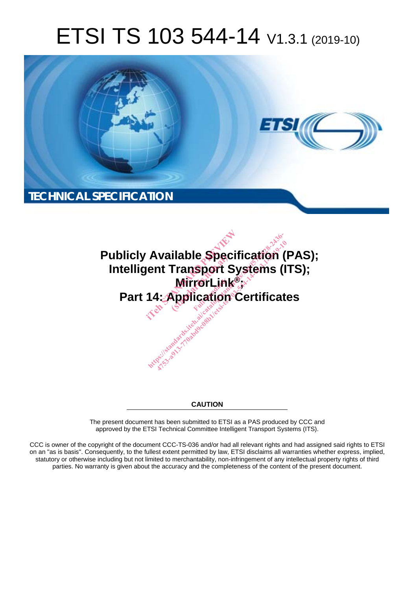# ETSI TS 103 544-14 V1.3.1 (2019-10)





**CAUTION** 

The present document has been submitted to ETSI as a PAS produced by CCC and approved by the ETSI Technical Committee Intelligent Transport Systems (ITS).

CCC is owner of the copyright of the document CCC-TS-036 and/or had all relevant rights and had assigned said rights to ETSI on an "as is basis". Consequently, to the fullest extent permitted by law, ETSI disclaims all warranties whether express, implied, statutory or otherwise including but not limited to merchantability, non-infringement of any intellectual property rights of third parties. No warranty is given about the accuracy and the completeness of the content of the present document.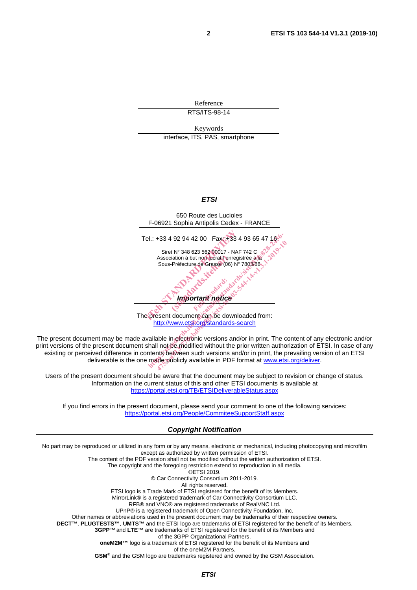Reference RTS/ITS-98-14

Keywords interface, ITS, PAS, smartphone

#### *ETSI*



The present document can be downloaded from: http://www.etsi.org/standards-search

The present document may be made available in electronic versions and/or in print. The content of any electronic and/or print versions of the present document shall not be modified without the prior written authorization of ETSI. In case of any existing or perceived difference in contents between such versions and/or in print, the prevailing version of an ETSI deliverable is the one made publicly available in PDF format at www.etsi.org/deliver.

Users of the present document should be aware that the document may be subject to revision or change of status. Information on the current status of this and other ETSI documents is available at https://portal.etsi.org/TB/ETSIDeliverableStatus.aspx

If you find errors in the present document, please send your comment to one of the following services: https://portal.etsi.org/People/CommiteeSupportStaff.aspx

#### *Copyright Notification*

No part may be reproduced or utilized in any form or by any means, electronic or mechanical, including photocopying and microfilm except as authorized by written permission of ETSI. The content of the PDF version shall not be modified without the written authorization of ETSI. The copyright and the foregoing restriction extend to reproduction in all media. ©ETSI 2019. © Car Connectivity Consortium 2011-2019. All rights reserved. ETSI logo is a Trade Mark of ETSI registered for the benefit of its Members. MirrorLink® is a registered trademark of Car Connectivity Consortium LLC. RFB® and VNC® are registered trademarks of RealVNC Ltd. UPnP® is a registered trademark of Open Connectivity Foundation, Inc. Other names or abbreviations used in the present document may be trademarks of their respective owners. **DECT™**, **PLUGTESTS™**, **UMTS™** and the ETSI logo are trademarks of ETSI registered for the benefit of its Members. **3GPP™**and **LTE™** are trademarks of ETSI registered for the benefit of its Members and of the 3GPP Organizational Partners. **oneM2M™** logo is a trademark of ETSI registered for the benefit of its Members and of the oneM2M Partners. **GSM®** and the GSM logo are trademarks registered and owned by the GSM Association.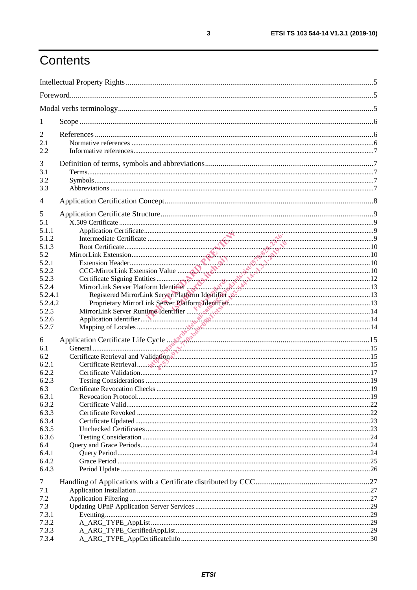# Contents

| $\mathbf{I}$   |                                                                           |  |  |
|----------------|---------------------------------------------------------------------------|--|--|
| 2              |                                                                           |  |  |
| 2.1            |                                                                           |  |  |
| 2.2            |                                                                           |  |  |
|                |                                                                           |  |  |
| 3              |                                                                           |  |  |
| 3.1<br>3.2     |                                                                           |  |  |
| 3.3            |                                                                           |  |  |
|                |                                                                           |  |  |
| 4              |                                                                           |  |  |
| 5              |                                                                           |  |  |
| 5.1            |                                                                           |  |  |
| 5.1.1          |                                                                           |  |  |
| 5.1.2          |                                                                           |  |  |
| 5.1.3          |                                                                           |  |  |
| 5.2            |                                                                           |  |  |
| 5.2.1          |                                                                           |  |  |
| 5.2.2          |                                                                           |  |  |
| 5.2.3          |                                                                           |  |  |
| 5.2.4          |                                                                           |  |  |
| 5.2.4.1        | Registered MirrorLink Server Platform Identifier N.C. Manuscrittorian (13 |  |  |
| 5.2.4.2        |                                                                           |  |  |
| 5.2.5          |                                                                           |  |  |
| 5.2.6<br>5.2.7 |                                                                           |  |  |
|                |                                                                           |  |  |
| 6              |                                                                           |  |  |
| 6.1            |                                                                           |  |  |
| 6.2            |                                                                           |  |  |
| 6.2.1          |                                                                           |  |  |
| 6.2.2<br>6.2.3 |                                                                           |  |  |
|                |                                                                           |  |  |
| 6.3<br>6.3.1   |                                                                           |  |  |
| 6.3.2          |                                                                           |  |  |
| 6.3.3          |                                                                           |  |  |
| 6.3.4          |                                                                           |  |  |
| 6.3.5          |                                                                           |  |  |
| 6.3.6          |                                                                           |  |  |
| 6.4            |                                                                           |  |  |
| 6.4.1          |                                                                           |  |  |
| 6.4.2          |                                                                           |  |  |
| 6.4.3          |                                                                           |  |  |
| 7              |                                                                           |  |  |
| 7.1            |                                                                           |  |  |
| 7.2            |                                                                           |  |  |
| 7.3            |                                                                           |  |  |
| 7.3.1          |                                                                           |  |  |
| 7.3.2          |                                                                           |  |  |
| 7.3.3          |                                                                           |  |  |
| 7.3.4          |                                                                           |  |  |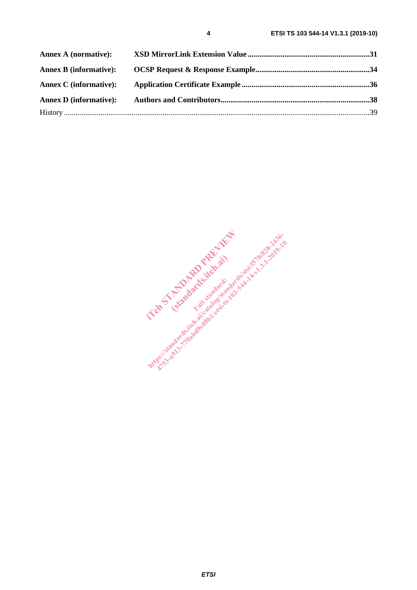| <b>Annex A (normative):</b>   |  |
|-------------------------------|--|
| <b>Annex B (informative):</b> |  |
| <b>Annex C</b> (informative): |  |
| <b>Annex D</b> (informative): |  |
|                               |  |

In Strandard Report of the Assessment (standards.itek.ai) https://standards.iteh.ai/catalogist/fores.here.org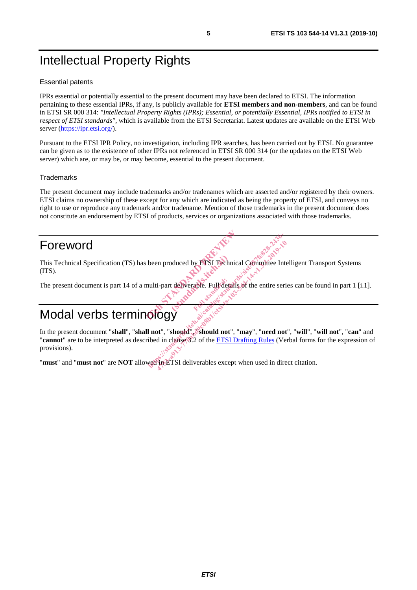# Intellectual Property Rights

#### Essential patents

IPRs essential or potentially essential to the present document may have been declared to ETSI. The information pertaining to these essential IPRs, if any, is publicly available for **ETSI members and non-members**, and can be found in ETSI SR 000 314: *"Intellectual Property Rights (IPRs); Essential, or potentially Essential, IPRs notified to ETSI in respect of ETSI standards"*, which is available from the ETSI Secretariat. Latest updates are available on the ETSI Web server (https://ipr.etsi.org/).

Pursuant to the ETSI IPR Policy, no investigation, including IPR searches, has been carried out by ETSI. No guarantee can be given as to the existence of other IPRs not referenced in ETSI SR 000 314 (or the updates on the ETSI Web server) which are, or may be, or may become, essential to the present document.

#### **Trademarks**

The present document may include trademarks and/or tradenames which are asserted and/or registered by their owners. ETSI claims no ownership of these except for any which are indicated as being the property of ETSI, and conveys no right to use or reproduce any trademark and/or tradename. Mention of those trademarks in the present document does not constitute an endorsement by ETSI of products, services or organizations associated with those trademarks.

# Foreword

This Technical Specification (TS) has been produced by ETSI Technical Committee Intelligent Transport Systems (ITS). i been produced by ETSI Technical Co duced by ETSI Techn

The present document is part 14 of a multi-part deliverable. Full details of the entire series can be found in part 1 [i.1].

# Modal verbs terminolog

In the present document "**shall**", "**shall not**", "**should**", "**should not**", "**may**", "**need not**", "**will**", "**will not**", "**can**" and "**cannot**" are to be interpreted as described in clause 3.2 of the ETSI Drafting Rules (Verbal forms for the expression of provisions). been produced by ETSI Technical Committee International reserves the standard standards of the entire series of the entire series of the entire series of the entire series of the entire series of the entire series of the e 47531 Technical Committee International Committee International Committee International Committee International Committee International Committee International Committee International Committee International Committee Inte

"**must**" and "**must not**" are **NOT** allowed in ETSI deliverables except when used in direct citation.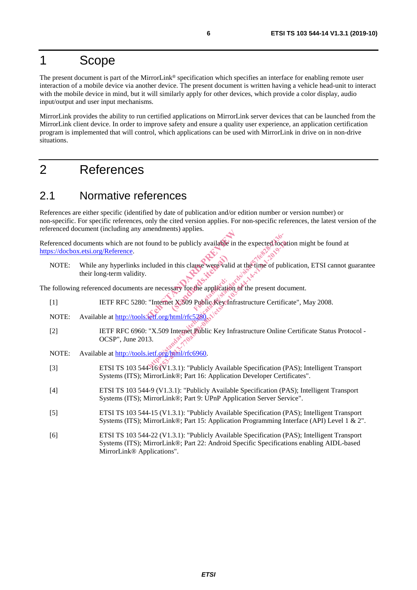# 1 Scope

The present document is part of the MirrorLink® specification which specifies an interface for enabling remote user interaction of a mobile device via another device. The present document is written having a vehicle head-unit to interact with the mobile device in mind, but it will similarly apply for other devices, which provide a color display, audio input/output and user input mechanisms.

MirrorLink provides the ability to run certified applications on MirrorLink server devices that can be launched from the MirrorLink client device. In order to improve safety and ensure a quality user experience, an application certification program is implemented that will control, which applications can be used with MirrorLink in drive on in non-drive situations.

## 2 References

#### 2.1 Normative references

References are either specific (identified by date of publication and/or edition number or version number) or non-specific. For specific references, only the cited version applies. For non-specific references, the latest version of the referenced document (including any amendments) applies.

Referenced documents which are not found to be publicly available in the expected location might be found at https://docbox.etsi.org/Reference. found to be publicly available in the exercise of the contract of the state of the application of the exercise of the state of the state of the state of the state of the state of the state of the state of the state of the bttp://www.ailable.in.the expected.focat<br>cluded in this clause were valid at the time of publ<br>re necessary for the application of the present documents.<br>"Internet X509 Public Key Infrastructure Certific<br>etf.org/html/rfc528

NOTE: While any hyperlinks included in this clause were valid at the time of publication, ETSI cannot guarantee their long-term validity. In this clause were valid<br>
sary for the application 47539 application of the expected focal<br>ded in this clause were valid at the time of publication<br>decessary for the application of the present documents<br>termet X309 Public Key Infrastructure Certific<br>for the strengthend in

The following referenced documents are necessary for the application of the present document.

- [1] IETF RFC 5280: "Internet X.509 Public Key Infrastructure Certificate", May 2008.
- NOTE: Available at http://tools.ietf.org/html/rfc528
- [2] IETF RFC 6960: "X.509 Internet Public Key Infrastructure Online Certificate Status Protocol OCSP", June 2013.
- NOTE: Available at http://tools.ietf.org/html/rfc6960.
- [3] ETSI TS 103 544-16 (V1.3.1): "Publicly Available Specification (PAS); Intelligent Transport Systems (ITS); MirrorLink®; Part 16: Application Developer Certificates".
- [4] ETSI TS 103 544-9 (V1.3.1): "Publicly Available Specification (PAS); Intelligent Transport Systems (ITS); MirrorLink®; Part 9: UPnP Application Server Service".
- [5] ETSI TS 103 544-15 (V1.3.1): "Publicly Available Specification (PAS); Intelligent Transport Systems (ITS); MirrorLink®; Part 15: Application Programming Interface (API) Level 1 & 2".
- [6] ETSI TS 103 544-22 (V1.3.1): "Publicly Available Specification (PAS); Intelligent Transport Systems (ITS); MirrorLink®; Part 22: Android Specific Specifications enabling AIDL-based MirrorLink® Applications".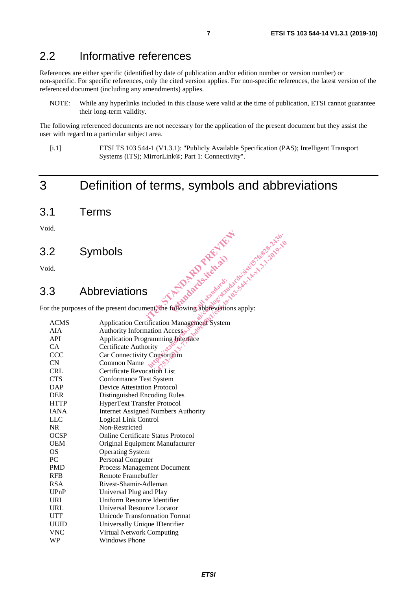#### 2.2 Informative references

References are either specific (identified by date of publication and/or edition number or version number) or non-specific. For specific references, only the cited version applies. For non-specific references, the latest version of the referenced document (including any amendments) applies.

NOTE: While any hyperlinks included in this clause were valid at the time of publication, ETSI cannot guarantee their long-term validity.

The following referenced documents are not necessary for the application of the present document but they assist the user with regard to a particular subject area.

[i.1] ETSI TS 103 544-1 (V1.3.1): "Publicly Available Specification (PAS); Intelligent Transport Systems (ITS); MirrorLink®; Part 1: Connectivity".

# 3 Definition of terms, symbols and abbreviations

3.1 Terms

Void.

3.2 Symbols

Void.

#### 3.3 Abbreviations

For the purposes of the present document, the following abbreviations apply: interesting abgreeations apply (standards.iteh.ai)

|             | Symbols<br>id.<br>3 Abbreviations<br>The purposes of the present document the following abbreviations apply.<br>England And Manufacturer |
|-------------|------------------------------------------------------------------------------------------------------------------------------------------|
|             |                                                                                                                                          |
|             |                                                                                                                                          |
|             |                                                                                                                                          |
| <b>ACMS</b> | <b>Application Certification Management System</b>                                                                                       |
| <b>AIA</b>  | Authority Information Accesser                                                                                                           |
| <b>API</b>  | <b>Application Programming Interface</b>                                                                                                 |
| <b>CA</b>   | Certificate Authority                                                                                                                    |
| <b>CCC</b>  | Car Connectivity Consortium                                                                                                              |
| <b>CN</b>   | Common Name                                                                                                                              |
| <b>CRL</b>  | <b>Certificate Revocation List</b>                                                                                                       |
| <b>CTS</b>  | <b>Conformance Test System</b>                                                                                                           |
| <b>DAP</b>  | <b>Device Attestation Protocol</b>                                                                                                       |
| <b>DER</b>  | Distinguished Encoding Rules                                                                                                             |
| <b>HTTP</b> | <b>HyperText Transfer Protocol</b>                                                                                                       |
| <b>IANA</b> | <b>Internet Assigned Numbers Authority</b>                                                                                               |
| <b>LLC</b>  | Logical Link Control                                                                                                                     |
| <b>NR</b>   | Non-Restricted                                                                                                                           |
| <b>OCSP</b> | <b>Online Certificate Status Protocol</b>                                                                                                |
| <b>OEM</b>  | Original Equipment Manufacturer                                                                                                          |
| <b>OS</b>   | <b>Operating System</b>                                                                                                                  |
| <b>PC</b>   | Personal Computer                                                                                                                        |
| <b>PMD</b>  | Process Management Document                                                                                                              |
| <b>RFB</b>  | <b>Remote Framebuffer</b>                                                                                                                |
| <b>RSA</b>  | Rivest-Shamir-Adleman                                                                                                                    |
| UPnP        | Universal Plug and Play                                                                                                                  |
| <b>URI</b>  | Uniform Resource Identifier                                                                                                              |
| <b>URL</b>  | Universal Resource Locator                                                                                                               |
| <b>UTF</b>  | Unicode Transformation Format                                                                                                            |
| <b>UUID</b> | Universally Unique IDentifier                                                                                                            |
| <b>VNC</b>  | Virtual Network Computing                                                                                                                |
| <b>WP</b>   | <b>Windows Phone</b>                                                                                                                     |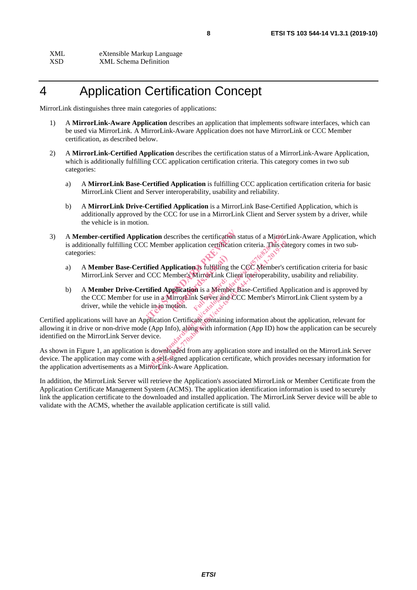XML eXtensible Markup Language XSD XML Schema Definition

# 4 Application Certification Concept

MirrorLink distinguishes three main categories of applications:

- 1) A **MirrorLink-Aware Application** describes an application that implements software interfaces, which can be used via MirrorLink. A MirrorLink-Aware Application does not have MirrorLink or CCC Member certification, as described below.
- 2) A **MirrorLink-Certified Application** describes the certification status of a MirrorLink-Aware Application, which is additionally fulfilling CCC application certification criteria. This category comes in two sub categories:
	- a) A **MirrorLink Base-Certified Application** is fulfilling CCC application certification criteria for basic MirrorLink Client and Server interoperability, usability and reliability.
	- b) A **MirrorLink Drive-Certified Application** is a MirrorLink Base-Certified Application, which is additionally approved by the CCC for use in a MirrorLink Client and Server system by a driver, while the vehicle is in motion.
- 3) A **Member-certified Application** describes the certification status of a MirrorLink-Aware Application, which is additionally fulfilling CCC Member application certification criteria. This category comes in two subcategories: cation describes the certification status<br>
C Member application certification crit<br>
ified Application is diffilling the CCC<br>
CCC Member's MirrorLink Client int<br>
tified Application is a Member Base-<br>
see in a MirrorLink Ser
	- a) A **Member Base-Certified Application** is fulfilling the CCC Member's certification criteria for basic MirrorLink Server and CCC Member's MirrorLink Client interoperability, usability and reliability.
	- b) A **Member Drive-Certified Application** is a Member Base-Certified Application and is approved by the CCC Member for use in a MirrorLink Server and CCC Member's MirrorLink Client system by a driver, while the vehicle in in motion.  $\sim$ plication is fulfilling the<br>ember's Mirror Link Click<br>pplication is a Member<br>firror Link Server and deten. **M** is a Member ation describes the certification status of a Mintor<br>Member application certification criteria. This can<br>died Application is diffilling the CCC Member's CCC<br>CCC Member's MirrorLink Client interoperability<br>ified Application [4753-a913-770abd9c08b1/etsi-ts-103-544-14-v1.3.1-2019-10](��AM��.�.�av�{7��3�<	�`��H)���¨.��S�=c>���ih�I��? ݙ@V���Z�qEOw�H������{��3���S\1c�	.]�*ON��[�-��ˑW����@�0h)

Certified applications will have an Application Certificate containing information about the application, relevant for allowing it in drive or non-drive mode (App Info), along with information (App ID) how the application can be securely identified on the MirrorLink Server device.

As shown in Figure 1, an application is downloaded from any application store and installed on the MirrorLink Server device. The application may come with a self-signed application certificate, which provides necessary information for the application advertisements as a MirrorLink-Aware Application.

In addition, the MirrorLink Server will retrieve the Application's associated MirrorLink or Member Certificate from the Application Certificate Management System (ACMS). The application identification information is used to securely link the application certificate to the downloaded and installed application. The MirrorLink Server device will be able to validate with the ACMS, whether the available application certificate is still valid.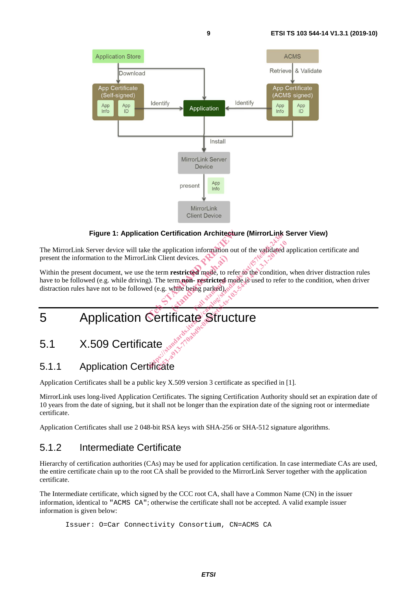

#### **Figure 1: Application Certification Architecture (MirrorLink Server View)**

The MirrorLink Server device will take the application information out of the validated application certificate and present the information to the MirrorLink Client devices.

Within the present document, we use the term **restricted** mode, to refer to the condition, when driver distraction rules have to be followed (e.g. while driving). The term **non- restricted** mode is used to refer to the condition, when driver distraction rules have not to be followed (e.g. while being parked). Figure 1: Application Certification Architecture (Mir<br>
The MirrorLink Server device will take the application information out of the<br>
present the information to the MirrorLink Client devices.<br>
Within the present document, mt devices. - restricted m the application information out of the validated a<br>tink Client devices.<br>the term restricted mode, to refer to the condition,<br>the term restricted mode, to refer to the condition,<br>can be started and distinct of the condition e application information out of the validated in Client devices.<br>
The term restricted mode, to refer to the condition,<br>
The term non-restricted mode is used to refer<br>
e.g. while being parked), and the condition,<br>
e.g. whi

# 5.1 X.509 Certificate

#### 5.1.1 Application Certificate

Application Certificates shall be a public key X.509 version 3 certificate as specified in [1].

MirrorLink uses long-lived Application Certificates. The signing Certification Authority should set an expiration date of 10 years from the date of signing, but it shall not be longer than the expiration date of the signing root or intermediate certificate.

Application Certificates shall use 2 048-bit RSA keys with SHA-256 or SHA-512 signature algorithms.

#### 5.1.2 Intermediate Certificate

Hierarchy of certification authorities (CAs) may be used for application certification. In case intermediate CAs are used, the entire certificate chain up to the root CA shall be provided to the MirrorLink Server together with the application certificate.

The Intermediate certificate, which signed by the CCC root CA, shall have a Common Name (CN) in the issuer information, identical to "ACMS CA"; otherwise the certificate shall not be accepted. A valid example issuer information is given below:

Issuer: O=Car Connectivity Consortium, CN=ACMS CA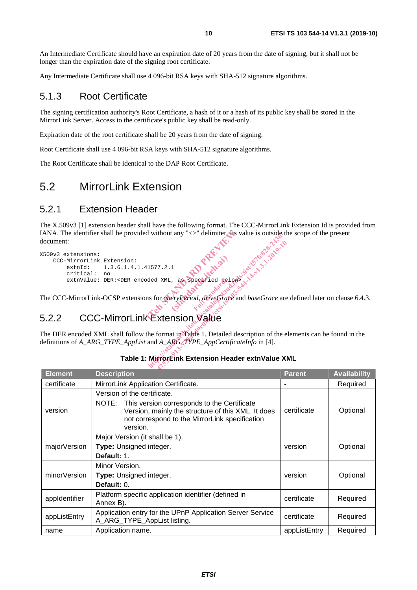An Intermediate Certificate should have an expiration date of 20 years from the date of signing, but it shall not be longer than the expiration date of the signing root certificate.

Any Intermediate Certificate shall use 4 096-bit RSA keys with SHA-512 signature algorithms.

#### 5.1.3 Root Certificate

The signing certification authority's Root Certificate, a hash of it or a hash of its public key shall be stored in the MirrorLink Server. Access to the certificate's public key shall be read-only.

Expiration date of the root certificate shall be 20 years from the date of signing.

Root Certificate shall use 4 096-bit RSA keys with SHA-512 signature algorithms.

The Root Certificate shall be identical to the DAP Root Certificate.

### 5.2 MirrorLink Extension

#### 5.2.1 Extension Header

The X.509v3 [1] extension header shall have the following format. The CCC-MirrorLink Extension Id is provided from IANA. The identifier shall be provided without any "<>" delimiter. Its value is outside the scope of the present document:

```
X509v3 extensions: 
          CCC-MirrorLink Extension:<br>extnId: 1.3.6.1.4.
                                               extnId: 1.3.6.1.4.1.41577.2.1
                     critical: no
extnValue: DER:<DER encoded XML, as specified below>
                                                                              d without any ">" delimiter the value
                                                                                                1 as specified below
                                                                                Hendrick State is outside to the standard and AML, as specified belows is the standard of the standard significant catalog is the standard of the standard control of the state of the state of the state of the state of the 
                                                                                      17.2.1<br>
1 XML, as specified belows A A A 2-2019-10<br>
or guery period, drive Grace and baseGrace are<br>
Xtension Value<br>
format in Table 1. Detailed description of the e<br>
14_ARG_TYPE_AppCertificateInfo in [4].
```
The CCC-MirrorLink-OCSP extensions for *queryPeriod*, *driveGrace* and *baseGrace* are defined later on clause 6.4.3. egetied gel

### 5.2.2 CCC-MirrorLink Extension Value

The DER encoded XML shall follow the format in Table 1. Detailed description of the elements can be found in the definitions of *A\_ARG\_TYPE\_AppList* and *A\_ARG\_TYPE\_AppCertificateInfo* in [4].

| <b>Element</b> | <b>Description</b>                                                                                                                                                                                   | <b>Parent</b> | <b>Availability</b> |
|----------------|------------------------------------------------------------------------------------------------------------------------------------------------------------------------------------------------------|---------------|---------------------|
| certificate    | MirrorLink Application Certificate.                                                                                                                                                                  |               | Required            |
| version        | Version of the certificate.<br>NOTE: This version corresponds to the Certificate<br>Version, mainly the structure of this XML. It does<br>not correspond to the MirrorLink specification<br>version. | certificate   | Optional            |
| majorVersion   | Major Version (it shall be 1).<br>Type: Unsigned integer.<br>Default: 1.                                                                                                                             | version       | Optional            |
| minorVersion   | Minor Version.<br><b>Type:</b> Unsigned integer.<br>Default: 0.                                                                                                                                      | version       | Optional            |
| appIdentifier  | Platform specific application identifier (defined in<br>Annex B).                                                                                                                                    | certificate   | Required            |
| appListEntry   | Application entry for the UPnP Application Server Service<br>A_ARG_TYPE_AppList listing.                                                                                                             | certificate   | Required            |
| name           | Application name.                                                                                                                                                                                    | appListEntry  | Required            |

#### **Table 1: MirrorLink Extension Header extnValue XML**